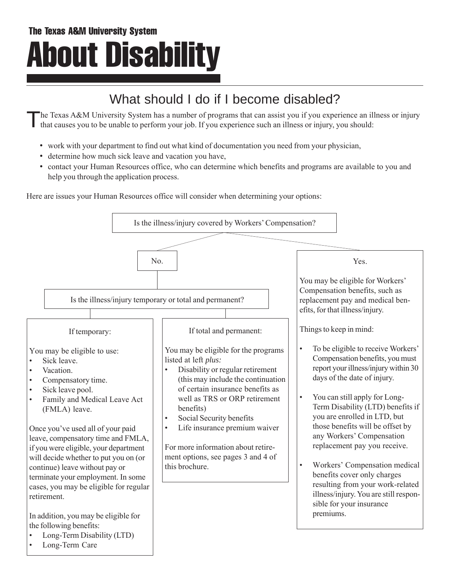# What should I do if I become disabled?

The Texas A&M University System has a number of programs that can assist you if you experience an illness or injury that causes you to be unable to perform your job. If you experience such an illness or injury, you should:

- work with your department to find out what kind of documentation you need from your physician,
- determine how much sick leave and vacation you have,
- contact your Human Resources office, who can determine which benefits and programs are available to you and help you through the application process.

Here are issues your Human Resources office will consider when determining your options:

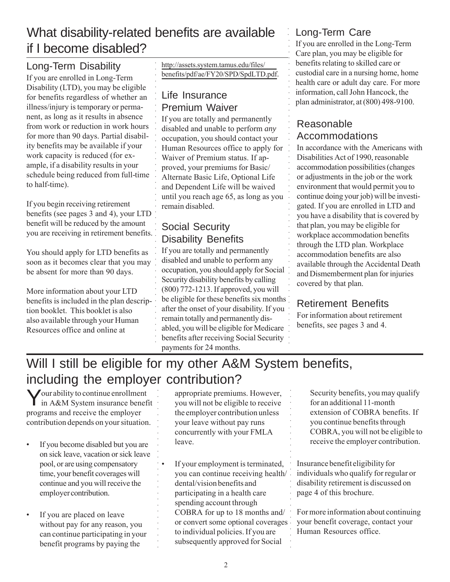## What disability-related benefits are available if I become disabled?

○○○○○○○○○○○○○○○○○○○

○○○○○○○○○○○○○○○○○○○○○○○○○○○○○

○○○○○○○○○

○○○○○○○○○○○○○○○○○○

#### Long-Term Disability

If you are enrolled in Long-Term Disability (LTD), you may be eligible for benefits regardless of whether an illness/injury is temporary or permanent, as long as it results in absence from work or reduction in work hours for more than 90 days. Partial disability benefits may be available if your work capacity is reduced (for example, if a disability results in your schedule being reduced from full-time to half-time).

If you begin receiving retirement benefits (see pages 3 and 4), your LTD benefit will be reduced by the amount you are receiving in retirement benefits.

You should apply for LTD benefits as soon as it becomes clear that you may be absent for more than 90 days.

More information about your LTD benefits is included in the plan description booklet. This booklet is also also available through your Human Resources office and online at

http://assets.system.tamus.edu/files/ [benefits/pdf/ae/FY20/SPD/SpdLTD.pdf](http://assets.system.tamus.edu/files/benefits/pdf/ae/FY20/SPD/SpdLTD.pdf).

#### Life Insurance Premium Waiver

If you are totally and permanently disabled and unable to perform *any* occupation, you should contact your Human Resources office to apply for Waiver of Premium status. If approved, your premiums for Basic/ Alternate Basic Life, Optional Life and Dependent Life will be waived until you reach age 65, as long as you remain disabled.

#### Social Security Disability Benefits

If you are totally and permanently disabled and unable to perform any occupation, you should apply for Social Security disability benefits by calling (800) 772-1213. If approved, you will be eligible for these benefits six months after the onset of your disability. If you remain totally and permanently disabled, you will be eligible for Medicare benefits after receiving Social Security payments for 24 months.

#### Long-Term Care

If you are enrolled in the Long-Term Care plan, you may be eligible for benefits relating to skilled care or custodial care in a nursing home, home health care or adult day care. For more information, call John Hancock, the plan administrator, at (800) 498-9100.

#### Reasonable Accommodations

○○○○○○○○○○○○○○○○○○○○○○○○○○○○○○○○○○○○○○○○○○○○○○○○○○○○○

○○○○○○○○○

In accordance with the Americans with Disabilities Act of 1990, reasonable accommodation possibilities (changes or adjustments in the job or the work environment that would permit you to continue doing your job) will be investigated. If you are enrolled in LTD and you have a disability that is covered by that plan, you may be eligible for workplace accommodation benefits through the LTD plan. Workplace accommodation benefits are also available through the Accidental Death and Dismemberment plan for injuries covered by that plan.

#### Retirement Benefits

For information about retirement benefits, see pages 3 and 4.

# Will I still be eligible for my other A&M System benefits, including the employer contribution?

Your ability to continue enrollment in A&M System insurance benefit programs and receive the employer contribution depends on your situation.

- If you become disabled but you are on sick leave, vacation or sick leave pool, or are using compensatory time, your benefit coverages will continue and you will receive the employer contribution.
- If you are placed on leave without pay for any reason, you can continue participating in your benefit programs by paying the

appropriate premiums. However, you will not be eligible to receive the employer contribution unless your leave without pay runs concurrently with your FMLA leave.

If your employment is terminated, you can continue receiving health/ dental/vision benefits and participating in a health care spending account through COBRA for up to 18 months and/ or convert some optional coverages to individual policies. If you are subsequently approved for Social ○○○○○○○○○○○○○○○○○○

Security benefits, you may qualify for an additional 11-month extension of COBRA benefits. If you continue benefits through COBRA, you will not be eligible to receive the employer contribution.

Insurance benefit eligibility for individuals who qualify for regular or disability retirement is discussed on page 4 of this brochure.

For more information about continuing your benefit coverage, contact your Human Resources office.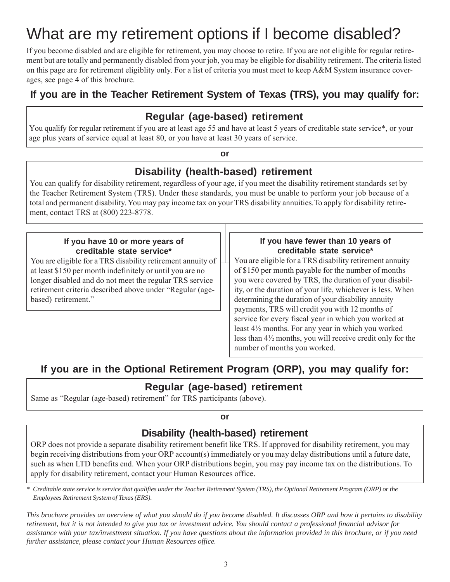# What are my retirement options if I become disabled?

If you become disabled and are eligible for retirement, you may choose to retire. If you are not eligible for regular retirement but are totally and permanently disabled from your job, you may be eligible for disability retirement. The criteria listed on this page are for retirement eligiblity only. For a list of criteria you must meet to keep A&M System insurance coverages, see page 4 of this brochure.

#### **If you are in the Teacher Retirement System of Texas (TRS), you may qualify for:**

#### **Regular (age-based) retirement**

You qualify for regular retirement if you are at least age 55 and have at least 5 years of creditable state service\*, or your age plus years of service equal at least 80, or you have at least 30 years of service.

#### **or**

#### **Disability (health-based) retirement**

You can qualify for disability retirement, regardless of your age, if you meet the disability retirement standards set by the Teacher Retirement System (TRS). Under these standards, you must be unable to perform your job because of a total and permanent disability. You may pay income tax on your TRS disability annuities.To apply for disability retirement, contact TRS at (800) 223-8778.

#### **If you have 10 or more years of creditable state service\***

You are eligible for a TRS disability retirement annuity of at least \$150 per month indefinitely or until you are no longer disabled and do not meet the regular TRS service retirement criteria described above under "Regular (agebased) retirement."

#### **If you have fewer than 10 years of creditable state service\***

You are eligible for a TRS disability retirement annuity of \$150 per month payable for the number of months you were covered by TRS, the duration of your disability, or the duration of your life, whichever is less. When determining the duration of your disability annuity payments, TRS will credit you with 12 months of service for every fiscal year in which you worked at least 4½ months. For any year in which you worked less than 4½ months, you will receive credit only for the number of months you worked.

### **If you are in the Optional Retirement Program (ORP), you may qualify for:**

#### **Regular (age-based) retirement**

Same as "Regular (age-based) retirement" for TRS participants (above).

**or**

#### **Disability (health-based) retirement**

ORP does not provide a separate disability retirement benefit like TRS. If approved for disability retirement, you may begin receiving distributions from your ORP account(s) immediately or you may delay distributions until a future date, such as when LTD benefits end. When your ORP distributions begin, you may pay income tax on the distributions. To apply for disability retirement, contact your Human Resources office.

*\* Creditable state service is service that qualifies under the Teacher Retirement System (TRS), the Optional Retirement Program (ORP) or the Employees Retirement System of Texas (ERS).*

*This brochure provides an overview of what you should do if you become disabled. It discusses ORP and how it pertains to disability retirement, but it is not intended to give you tax or investment advice. You should contact a professional financial advisor for assistance with your tax/investment situation. If you have questions about the information provided in this brochure, or if you need further assistance, please contact your Human Resources office.*